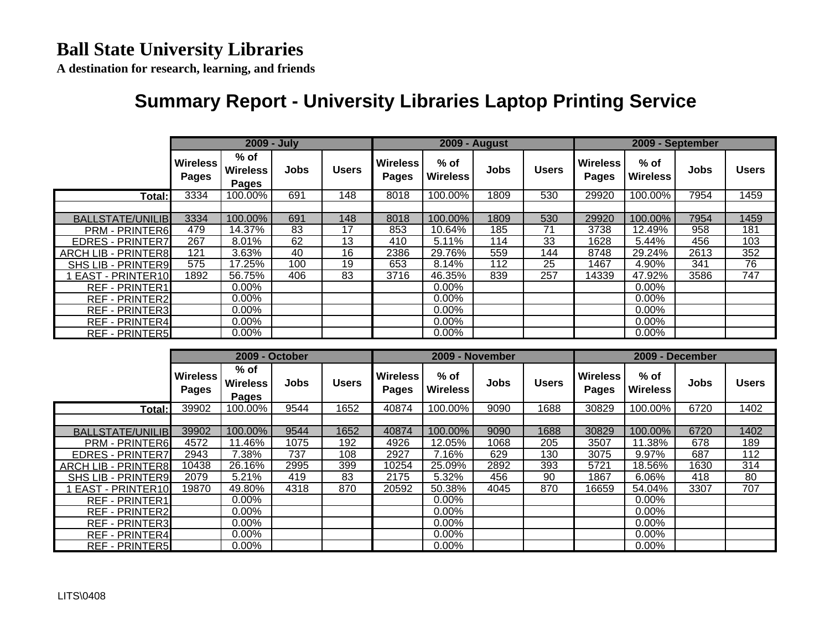**A destination for research, learning, and friends**

## **Summary Report - University Libraries Laptop Printing Service**

|                            |                          | 2009 - July                               |             |                 |                                 |                           | <b>2009 - August</b> |              | 2009 - September         |                           |      |                  |
|----------------------------|--------------------------|-------------------------------------------|-------------|-----------------|---------------------------------|---------------------------|----------------------|--------------|--------------------------|---------------------------|------|------------------|
|                            | <b>Wireless</b><br>Pages | $%$ of<br><b>Wireless</b><br><b>Pages</b> | <b>Jobs</b> | <b>Users</b>    | <b>Wireless</b><br><b>Pages</b> | $%$ of<br><b>Wireless</b> | <b>Jobs</b>          | <b>Users</b> | <b>Wireless</b><br>Pages | $%$ of<br><b>Wireless</b> | Jobs | <b>Users</b>     |
| Total:                     | 3334                     | 100.00%                                   | 691         | 148             | 8018                            | 100.00%                   | 1809                 | 530          | 29920                    | 100.00%                   | 7954 | 1459             |
|                            |                          |                                           |             |                 |                                 |                           |                      |              |                          |                           |      |                  |
| <b>BALLSTATE/UNILIB</b>    | 3334                     | 100.00%                                   | 691         | 148             | 8018                            | 100.00%                   | 1809                 | 530          | 29920                    | 100.00%                   | 7954 | 1459             |
| <b>PRM - PRINTER6</b>      | 479                      | 14.37%                                    | 83          | 17              | 853                             | 10.64%                    | 185                  | 71           | 3738                     | 12.49%                    | 958  | 181              |
| <b>EDRES - PRINTER7</b>    | 267                      | 8.01%                                     | 62          | $1\overline{3}$ | 410                             | 5.11%                     | 114                  | 33           | 1628                     | 5.44%                     | 456  | 103              |
| <b>ARCH LIB - PRINTER8</b> | 121                      | 3.63%                                     | 40          | 16              | 2386                            | 29.76%                    | 559                  | 144          | 8748                     | 29.24%                    | 2613 | 352              |
| <b>SHS LIB - PRINTER9</b>  | 575                      | 17.25%                                    | 100         | 19              | 653                             | 8.14%                     | 112                  | 25           | 1467                     | 4.90%                     | 341  | 76               |
| <b>EAST - PRINTER10</b>    | 1892                     | 56.75%                                    | 406         | 83              | 3716                            | 46.35%                    | 839                  | 257          | 14339                    | 47.92%                    | 3586 | $\overline{747}$ |
| <b>REF - PRINTER1</b>      |                          | $0.00\%$                                  |             |                 |                                 | $0.00\%$                  |                      |              |                          | $0.00\%$                  |      |                  |
| <b>REF - PRINTER2</b>      |                          | $0.00\%$                                  |             |                 |                                 | $0.00\%$                  |                      |              |                          | $0.00\%$                  |      |                  |
| <b>REF - PRINTER3</b>      |                          | $0.00\%$                                  |             |                 |                                 | 0.00%                     |                      |              |                          | $0.00\%$                  |      |                  |
| <b>REF - PRINTER4</b>      |                          | $0.00\%$                                  |             |                 |                                 | 0.00%                     |                      |              |                          | 0.00%                     |      |                  |
| <b>REF - PRINTER5</b>      |                          | $0.00\%$                                  |             |                 |                                 | $0.00\%$                  |                      |              |                          | $0.00\%$                  |      |                  |

|                            |                          | 2009 - October                          |      |              |                          | 2009 - November           |             |              | 2009 - December                 |                         |      |              |
|----------------------------|--------------------------|-----------------------------------------|------|--------------|--------------------------|---------------------------|-------------|--------------|---------------------------------|-------------------------|------|--------------|
|                            | <b>Wireless</b><br>Pages | % of<br><b>Wireless</b><br><b>Pages</b> | Jobs | <b>Users</b> | <b>Wireless</b><br>Pages | $%$ of<br><b>Wireless</b> | <b>Jobs</b> | <b>Users</b> | <b>Wireless</b><br><b>Pages</b> | % of<br><b>Wireless</b> | Jobs | <b>Users</b> |
| Total:                     | 39902                    | 100.00%                                 | 9544 | 1652         | 40874                    | 100.00%                   | 9090        | 1688         | 30829                           | 100.00%                 | 6720 | 1402         |
|                            |                          |                                         |      |              |                          |                           |             |              |                                 |                         |      |              |
| <b>BALLSTATE/UNILIB</b>    | 39902                    | 100.00%                                 | 9544 | 1652         | 40874                    | 100.00%                   | 9090        | 1688         | 30829                           | 100.00%                 | 6720 | 1402         |
| <b>PRM - PRINTER6</b>      | 4572                     | 11.46%                                  | 1075 | 192          | 4926                     | 12.05%                    | 1068        | 205          | 3507                            | 11.38%                  | 678  | 189          |
| <b>EDRES - PRINTER7</b>    | 2943                     | 7.38%                                   | 737  | 108          | 2927                     | 7.16%                     | 629         | 130          | 3075                            | 9.97%                   | 687  | 112          |
| <b>ARCH LIB - PRINTER8</b> | 10438                    | 26.16%                                  | 2995 | 399          | 10254                    | 25.09%                    | 2892        | 393          | 5721                            | 18.56%                  | 1630 | 314          |
| <b>SHS LIB - PRINTER9</b>  | 2079                     | 5.21%                                   | 419  | 83           | 2175                     | 5.32%                     | 456         | 90           | 1867                            | 6.06%                   | 418  | 80           |
| EAST - PRINTER10           | 19870                    | 49.80%                                  | 4318 | 870          | 20592                    | 50.38%                    | 4045        | 870          | 16659                           | 54.04%                  | 3307 | 707          |
| <b>REF - PRINTER1</b>      |                          | $0.00\%$                                |      |              |                          | $0.00\%$                  |             |              |                                 | $0.00\%$                |      |              |
| <b>REF - PRINTER2</b>      |                          | $0.00\%$                                |      |              |                          | $0.00\%$                  |             |              |                                 | $0.00\%$                |      |              |
| <b>REF - PRINTER3</b>      |                          | $0.00\%$                                |      |              |                          | $0.00\%$                  |             |              |                                 | $0.00\%$                |      |              |
| <b>REF - PRINTER4</b>      |                          | $0.00\%$                                |      |              |                          | $0.00\%$                  |             |              |                                 | $0.00\%$                |      |              |
| <b>REF - PRINTER5</b>      |                          | $0.00\%$                                |      |              |                          | $0.00\%$                  |             |              |                                 | $0.00\%$                |      |              |